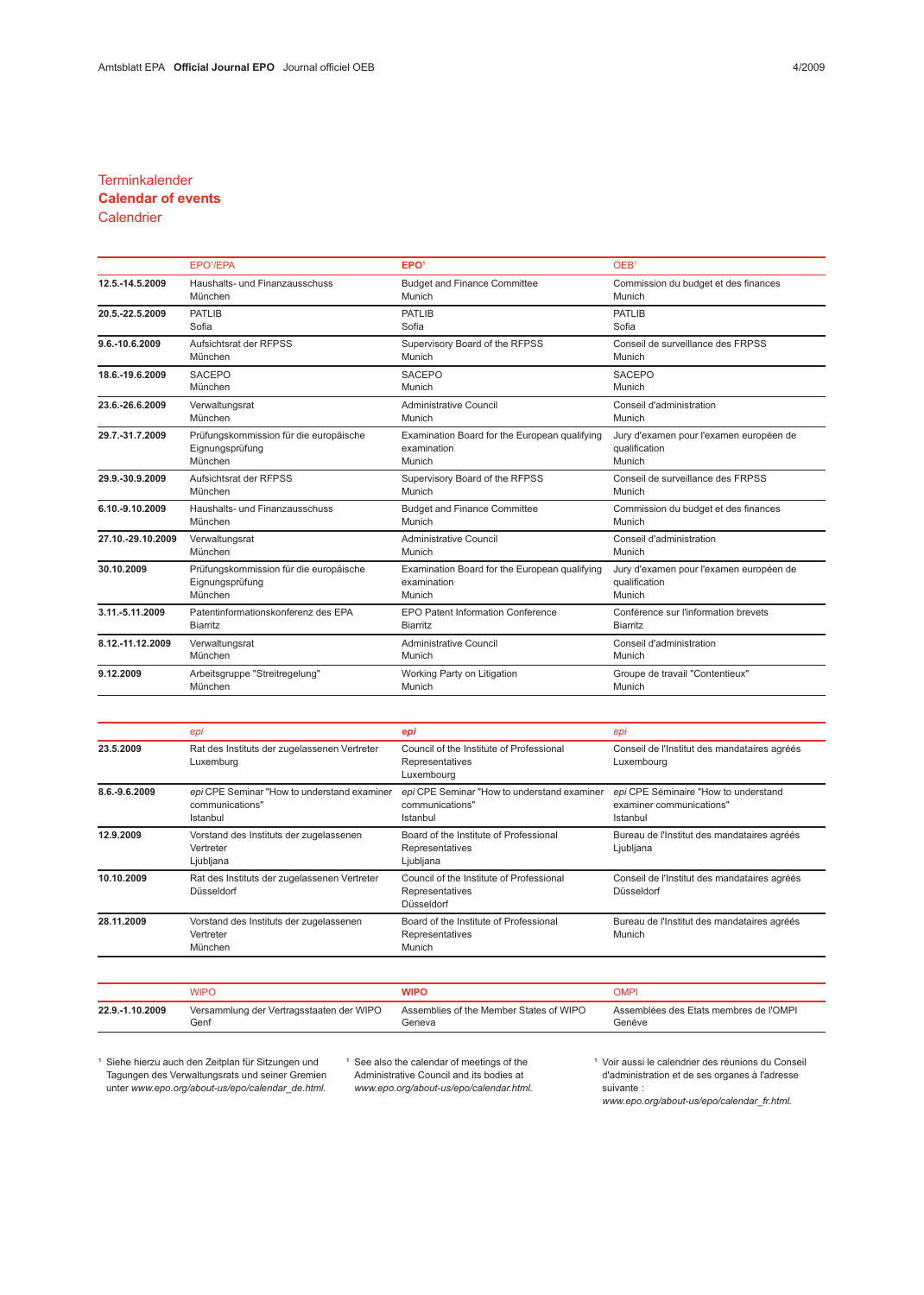### **Terminkalender**

# Calendar of events

## **Calendrier**

|                   | EPO <sup>1</sup> /EPA                  | EPO <sup>1</sup>                              | OEB <sup>1</sup>                        |  |
|-------------------|----------------------------------------|-----------------------------------------------|-----------------------------------------|--|
| 12.5.-14.5.2009   | Haushalts- und Finanzausschuss         | <b>Budget and Finance Committee</b>           | Commission du budget et des finances    |  |
|                   | München                                | Munich                                        | Munich                                  |  |
| 20.5.-22.5.2009   | <b>PATLIB</b>                          | <b>PATLIB</b>                                 | <b>PATLIB</b>                           |  |
|                   | Sofia                                  | Sofia                                         | Sofia                                   |  |
| 9.6.-10.6.2009    | Aufsichtsrat der RFPSS                 | Supervisory Board of the RFPSS                | Conseil de surveillance des FRPSS       |  |
|                   | München                                | Munich                                        | Munich                                  |  |
| 18.6.-19.6.2009   | <b>SACEPO</b>                          | <b>SACEPO</b>                                 | <b>SACEPO</b>                           |  |
|                   | München                                | Munich                                        | Munich                                  |  |
| 23.6.-26.6.2009   | Verwaltungsrat                         | Administrative Council                        | Conseil d'administration                |  |
|                   | München                                | Munich                                        | Munich                                  |  |
| 29.7.-31.7.2009   | Prüfungskommission für die europäische | Examination Board for the European qualifying | Jury d'examen pour l'examen européen de |  |
|                   | Eignungsprüfung                        | examination                                   | qualification                           |  |
|                   | München                                | Munich                                        | Munich                                  |  |
| 29.9.-30.9.2009   | Aufsichtsrat der RFPSS                 | Supervisory Board of the RFPSS                | Conseil de surveillance des FRPSS       |  |
|                   | München                                | Munich                                        | Munich                                  |  |
| 6.10.-9.10.2009   | Haushalts- und Finanzausschuss         | <b>Budget and Finance Committee</b>           | Commission du budget et des finances    |  |
|                   | München                                | Munich                                        | Munich                                  |  |
| 27.10.-29.10.2009 | Verwaltungsrat                         | Administrative Council                        | Conseil d'administration                |  |
|                   | München                                | Munich                                        | Munich                                  |  |
| 30.10.2009        | Prüfungskommission für die europäische | Examination Board for the European qualifying | Jury d'examen pour l'examen européen de |  |
|                   | Eignungsprüfung                        | examination                                   | qualification                           |  |
|                   | München                                | Munich                                        | Munich                                  |  |
| 3.11.-5.11.2009   | Patentinformationskonferenz des EPA    | <b>EPO Patent Information Conference</b>      | Conférence sur l'information brevets    |  |
|                   | <b>Biarritz</b>                        | <b>Biarritz</b>                               | <b>Biarritz</b>                         |  |
| 8.12.-11.12.2009  | Verwaltungsrat                         | <b>Administrative Council</b>                 | Conseil d'administration                |  |
|                   | München                                | Munich                                        | Munich                                  |  |
| 9.12.2009         | Arbeitsgruppe "Streitregelung"         | Working Party on Litigation                   | Groupe de travail "Contentieux"         |  |
|                   | München                                | Munich                                        | Munich                                  |  |

|               | epi                                                                        | epi                                                                        | epi                                                                          |
|---------------|----------------------------------------------------------------------------|----------------------------------------------------------------------------|------------------------------------------------------------------------------|
| 23.5.2009     | Rat des Instituts der zugelassenen Vertreter<br>Luxemburg                  | Council of the Institute of Professional<br>Representatives<br>Luxembourg  | Conseil de l'Institut des mandataires agréés<br>Luxembourg                   |
| 8.6.-9.6.2009 | epi CPE Seminar "How to understand examiner<br>communications"<br>Istanbul | epi CPE Seminar "How to understand examiner<br>communications"<br>Istanbul | epi CPE Séminaire "How to understand<br>examiner communications"<br>Istanbul |
| 12.9.2009     | Vorstand des Instituts der zugelassenen<br>Vertreter<br>Ljubljana          | Board of the Institute of Professional<br>Representatives<br>Ljubljana     | Bureau de l'Institut des mandataires agréés<br>Ljubljana                     |
| 10.10.2009    | Rat des Instituts der zugelassenen Vertreter<br>Düsseldorf                 | Council of the Institute of Professional<br>Representatives<br>Düsseldorf  | Conseil de l'Institut des mandataires agréés<br>Düsseldorf                   |
| 28.11.2009    | Vorstand des Instituts der zugelassenen<br>Vertreter<br>München            | Board of the Institute of Professional<br>Representatives<br>Munich        | Bureau de l'Institut des mandataires agréés<br>Munich                        |
|               | <b>WIPO</b>                                                                | <b>WIPO</b>                                                                | <b>OMPI</b>                                                                  |

|                 | VIPC                                     | <b>NIPO</b>                             | OMP                                    |
|-----------------|------------------------------------------|-----------------------------------------|----------------------------------------|
| 22.9.-1.10.2009 | Versammlung der Vertragsstaaten der WIPO | Assemblies of the Member States of WIPO | Assemblées des Etats membres de l'OMPI |
|                 | Genf                                     | Geneva                                  | Genève                                 |

<sup>1</sup> Siehe hierzu auch den Zeitplan für Sitzungen und Tagungen des Verwaltungsrats und seiner Gremien unter www.epo.org/about-us/epo/calendar\_de.html. <sup>1</sup> See also the calendar of meetings of the Administrative Council and its bodies at www.epo.org/about-us/epo/calendar.html. <sup>1</sup> Voir aussi le calendrier des réunions du Conseil d'administration et de ses organes à l'adresse suivante :

www.epo.org/about-us/epo/calendar\_fr.html.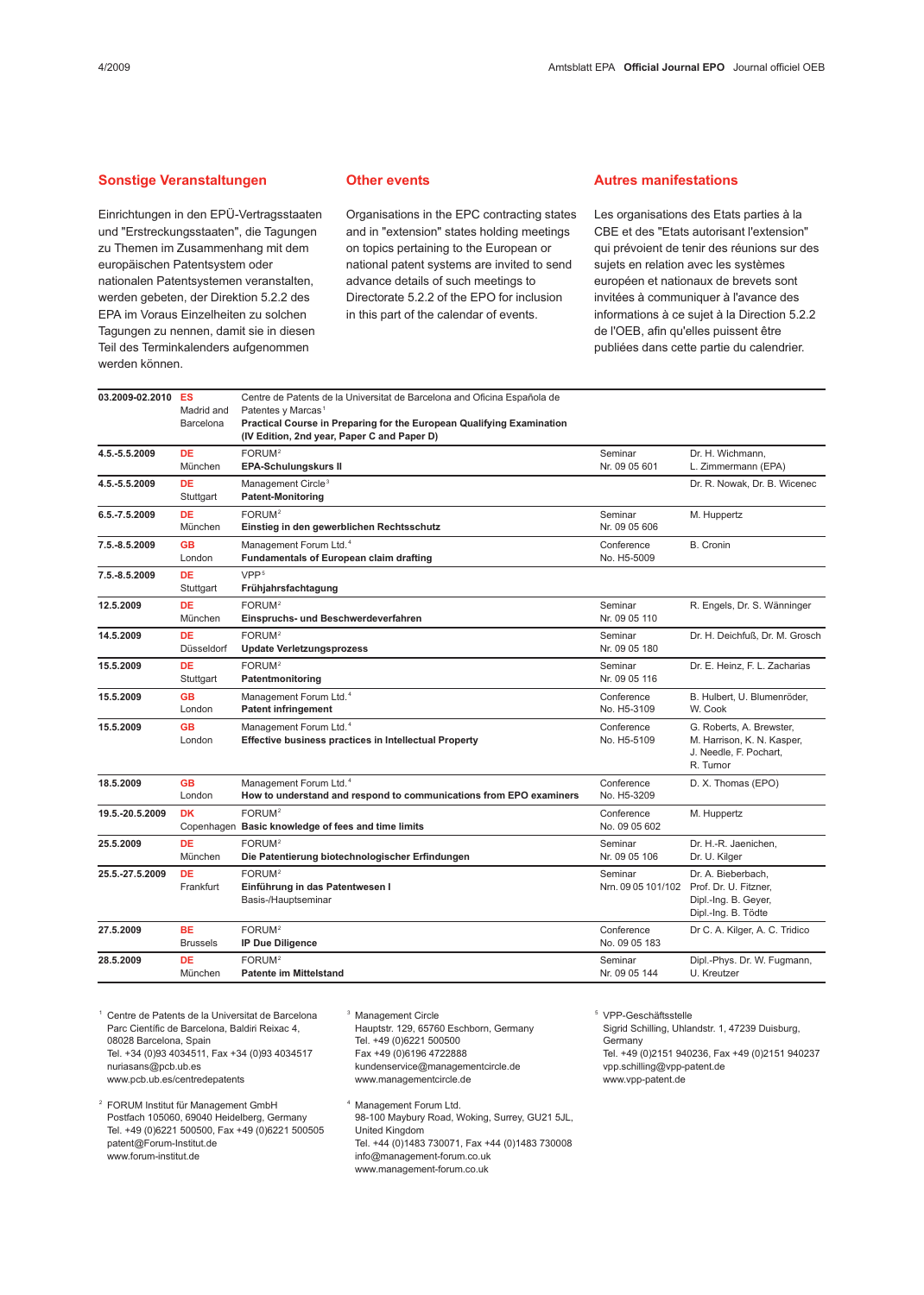### Sonstige Veranstaltungen

Einrichtungen in den EPÜ-Vertragsstaaten und "Erstreckungsstaaten", die Tagungen zu Themen im Zusammenhang mit dem europäischen Patentsystem oder nationalen Patentsystemen veranstalten, werden gebeten, der Direktion 5.2.2 des EPA im Voraus Einzelheiten zu solchen Tagungen zu nennen, damit sie in diesen Teil des Terminkalenders aufgenommen werden können.

Other events

Organisations in the EPC contracting states and in "extension" states holding meetings on topics pertaining to the European or national patent systems are invited to send advance details of such meetings to Directorate 5.2.2 of the EPO for inclusion in this part of the calendar of events.

#### Autres manifestations

Les organisations des Etats parties à la CBE et des "Etats autorisant l'extension" qui prévoient de tenir des réunions sur des sujets en relation avec les systèmes européen et nationaux de brevets sont invitées à communiquer à l'avance des informations à ce sujet à la Direction 5.2.2 de l'OEB, afin qu'elles puissent être publiées dans cette partie du calendrier.

| 03.2009-02.2010 | ES<br>Madrid and<br>Barcelona | Centre de Patents de la Universitat de Barcelona and Oficina Española de<br>Patentes y Marcas <sup>1</sup><br>Practical Course in Preparing for the European Qualifying Examination<br>(IV Edition, 2nd year, Paper C and Paper D) |                             |                                                                                                               |
|-----------------|-------------------------------|------------------------------------------------------------------------------------------------------------------------------------------------------------------------------------------------------------------------------------|-----------------------------|---------------------------------------------------------------------------------------------------------------|
| 4.5.-5.5.2009   | <b>DE</b><br>München          | FORUM <sup>2</sup><br><b>EPA-Schulungskurs II</b>                                                                                                                                                                                  | Seminar<br>Nr. 09 05 601    | Dr. H. Wichmann.<br>L. Zimmermann (EPA)                                                                       |
| 4.5.-5.5.2009   | <b>DE</b><br>Stuttgart        | Management Circle <sup>3</sup><br><b>Patent-Monitoring</b>                                                                                                                                                                         |                             | Dr. R. Nowak, Dr. B. Wicenec                                                                                  |
| 6.5.-7.5.2009   | <b>DE</b><br>München          | FORUM <sup>2</sup><br>Einstieg in den gewerblichen Rechtsschutz                                                                                                                                                                    | Seminar<br>Nr. 09 05 606    | M. Huppertz                                                                                                   |
| 7.5.-8.5.2009   | <b>GB</b><br>London           | Management Forum Ltd. <sup>4</sup><br><b>Fundamentals of European claim drafting</b>                                                                                                                                               | Conference<br>No. H5-5009   | B. Cronin                                                                                                     |
| 7.5.-8.5.2009   | <b>DE</b><br>Stuttgart        | VPP <sup>5</sup><br>Frühjahrsfachtagung                                                                                                                                                                                            |                             |                                                                                                               |
| 12.5.2009       | DE<br>München                 | FORUM <sup>2</sup><br>Einspruchs- und Beschwerdeverfahren                                                                                                                                                                          | Seminar<br>Nr. 09 05 110    | R. Engels, Dr. S. Wänninger                                                                                   |
| 14.5.2009       | <b>DE</b><br>Düsseldorf       | FORUM <sup>2</sup><br><b>Update Verletzungsprozess</b>                                                                                                                                                                             | Seminar<br>Nr. 09 05 180    | Dr. H. Deichfuß, Dr. M. Grosch                                                                                |
| 15.5.2009       | <b>DE</b><br>Stuttgart        | FORUM <sup>2</sup><br>Patentmonitoring                                                                                                                                                                                             | Seminar<br>Nr. 09 05 116    | Dr. E. Heinz, F. L. Zacharias                                                                                 |
| 15.5.2009       | <b>GB</b><br>London           | Management Forum Ltd. <sup>4</sup><br><b>Patent infringement</b>                                                                                                                                                                   | Conference<br>No. H5-3109   | B. Hulbert, U. Blumenröder,<br>W. Cook                                                                        |
| 15.5.2009       | <b>GB</b><br>London           | Management Forum Ltd. <sup>4</sup><br><b>Effective business practices in Intellectual Property</b>                                                                                                                                 | Conference<br>No. H5-5109   | G. Roberts, A. Brewster,<br>M. Harrison, K. N. Kasper,<br>J. Needle, F. Pochart,<br>R. Turnor                 |
| 18.5.2009       | <b>GB</b><br>London           | Management Forum Ltd. <sup>4</sup><br>How to understand and respond to communications from EPO examiners                                                                                                                           | Conference<br>No. H5-3209   | D. X. Thomas (EPO)                                                                                            |
| 19.5.-20.5.2009 | <b>DK</b>                     | FORUM <sup>2</sup><br>Copenhagen Basic knowledge of fees and time limits                                                                                                                                                           | Conference<br>No. 09 05 602 | M. Huppertz                                                                                                   |
| 25.5.2009       | <b>DE</b><br>München          | FORUM <sup>2</sup><br>Die Patentierung biotechnologischer Erfindungen                                                                                                                                                              | Seminar<br>Nr. 09 05 106    | Dr. H.-R. Jaenichen,<br>Dr. U. Kilger                                                                         |
| 25.5.-27.5.2009 | <b>DE</b><br>Frankfurt        | FORUM <sup>2</sup><br>Einführung in das Patentwesen I<br>Basis-/Hauptseminar                                                                                                                                                       | Seminar                     | Dr. A. Bieberbach,<br>Nrn. 09 05 101/102 Prof. Dr. U. Fitzner,<br>Dipl.-Ing. B. Geyer,<br>Dipl.-Ing. B. Tödte |
| 27.5.2009       | <b>BE</b><br><b>Brussels</b>  | FORUM <sup>2</sup><br><b>IP Due Diligence</b>                                                                                                                                                                                      | Conference<br>No. 09 05 183 | Dr C. A. Kilger, A. C. Tridico                                                                                |
| 28.5.2009       | DE<br>München                 | FORUM <sup>2</sup><br><b>Patente im Mittelstand</b>                                                                                                                                                                                | Seminar<br>Nr. 09 05 144    | Dipl.-Phys. Dr. W. Fugmann,<br>U. Kreutzer                                                                    |
|                 |                               |                                                                                                                                                                                                                                    |                             |                                                                                                               |

<sup>1</sup> Centre de Patents de la Universitat de Barcelona Parc Científic de Barcelona, Baldiri Reixac 4, 08028 Barcelona, Spain Tel. +34 (0)93 4034511, Fax +34 (0)93 4034517 nuriasans@pcb.ub.es www.pcb.ub.es/centredepatents

<sup>2</sup> FORUM Institut für Management GmbH Postfach 105060, 69040 Heidelberg, Germany Tel. +49 (0)6221 500500, Fax +49 (0)6221 500505 patent@Forum-Institut.de www.forum-institut.de

<sup>3</sup> Management Circle Hauptstr. 129, 65760 Eschborn, Germany Tel. +49 (0)6221 500500 Fax +49 (0)6196 4722888 kundenservice@managementcircle.de www.managementcircle.de

<sup>4</sup> Management Forum Ltd. 98-100 Maybury Road, Woking, Surrey, GU21 5JL, United Kingdom Tel. +44 (0)1483 730071, Fax +44 (0)1483 730008 info@management-forum.co.uk www.management-forum.co.uk

<sup>5</sup> VPP-Geschäftsstelle Sigrid Schilling, Uhlandstr. 1, 47239 Duisburg, **Germany** Tel. +49 (0)2151 940236, Fax +49 (0)2151 940237 vpp.schilling@vpp-patent.de www.vpp-patent.de